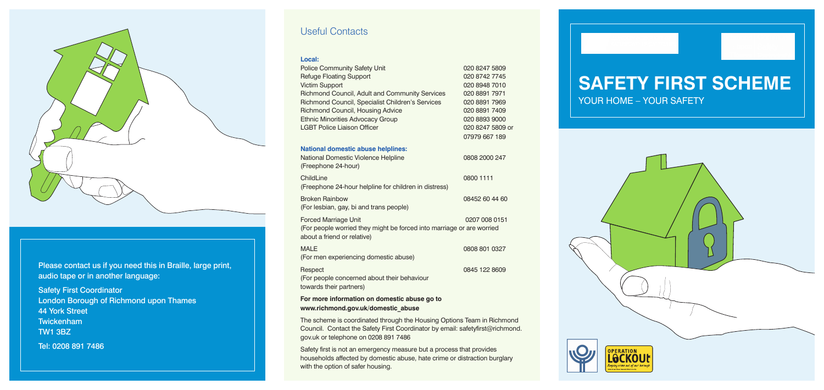#### Useful Contacts

#### **Local:**

| <b>Police Community Safety Unit</b><br><b>Refuge Floating Support</b><br><b>Victim Support</b><br>Richmond Council, Adult and Community Services<br>Richmond Council, Specialist Children's Services<br>Richmond Council, Housing Advice<br><b>Ethnic Minorities Advocacy Group</b><br><b>LGBT Police Liaison Officer</b> | 020 8247 5809<br>020 8742 7745<br>020 8948 7010<br>020 8891 7971<br>020 8891 7969<br>020 8891 7409<br>020 8893 9000<br>020 8247 5809 or<br>07979 667 189 |
|---------------------------------------------------------------------------------------------------------------------------------------------------------------------------------------------------------------------------------------------------------------------------------------------------------------------------|----------------------------------------------------------------------------------------------------------------------------------------------------------|
| <b>National domestic abuse helplines:</b>                                                                                                                                                                                                                                                                                 |                                                                                                                                                          |
| National Domestic Violence Helpline<br>(Freephone 24-hour)                                                                                                                                                                                                                                                                | 0808 2000 247                                                                                                                                            |
| ChildLine                                                                                                                                                                                                                                                                                                                 | 0800 1111                                                                                                                                                |
| (Freephone 24-hour helpline for children in distress)                                                                                                                                                                                                                                                                     |                                                                                                                                                          |
| <b>Broken Rainbow</b>                                                                                                                                                                                                                                                                                                     | 08452 60 44 60                                                                                                                                           |
| (For lesbian, gay, bi and trans people)                                                                                                                                                                                                                                                                                   |                                                                                                                                                          |
| <b>Forced Marriage Unit</b>                                                                                                                                                                                                                                                                                               | 0207 008 0151                                                                                                                                            |
| (For people worried they might be forced into marriage or are worried<br>about a friend or relative)                                                                                                                                                                                                                      |                                                                                                                                                          |
| <b>MALE</b>                                                                                                                                                                                                                                                                                                               | 0808 801 0327                                                                                                                                            |
| (For men experiencing domestic abuse)                                                                                                                                                                                                                                                                                     |                                                                                                                                                          |
| Respect                                                                                                                                                                                                                                                                                                                   | 0845 122 8609                                                                                                                                            |
| (For people concerned about their behaviour<br>towards their partners)                                                                                                                                                                                                                                                    |                                                                                                                                                          |
|                                                                                                                                                                                                                                                                                                                           |                                                                                                                                                          |

**For more information on domestic abuse go to www.richmond.gov.uk/domestic\_abuse**

The scheme is coordinated through the Housing Options Team in Richmond Council. Contact the Safety First Coordinator by email: safetyfirst@richmond. gov.uk or telephone on 0208 891 7486

Safety first is not an emergency measure but a process that provides households affected by domestic abuse, hate crime or distraction burglary with the option of safer housing.

# **Safety First Scheme** YOUR HOME – YOUR SAFETY





Please contact us if you need this in Braille, large print, audio tape or in another language:

Safety First Coordinator London Borough of Richmond upon Thames 44 York Street Twickenham TW1 3BZ Tel: 0208 891 7486